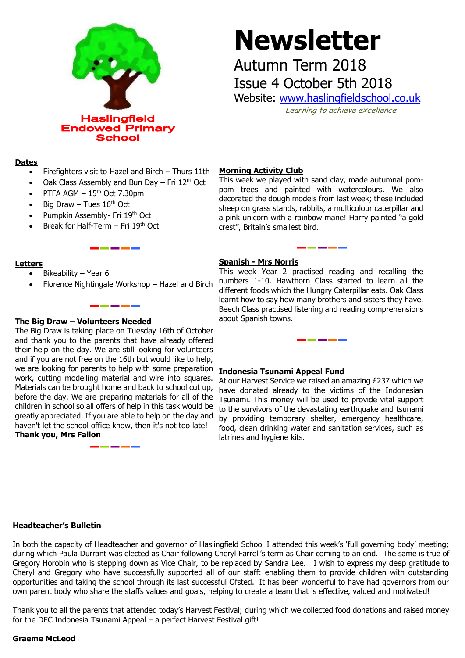

# **Newsletter**

## Autumn Term 2018 Issue 4 October 5th 2018

Website: [www.haslingfieldschool.co.uk](http://www.haslingfieldschool.co.uk/) Learning to achieve excellence

**Dates**

- Firefighters visit to Hazel and Birch Thurs 11th
- Oak Class Assembly and Bun Day Fri  $12<sup>th</sup>$  Oct
- PTFA AGM  $-15$ <sup>th</sup> Oct 7.30pm
- Big Draw Tues  $16<sup>th</sup>$  Oct
- Pumpkin Assembly- Fri 19th Oct
- Break for Half-Term Fri 19<sup>th</sup> Oct

#### **Letters**

- Bikeability Year 6
- Florence Nightingale Workshop Hazel and Birch

### **The Big Draw – Volunteers Needed**

 and if you are not free on the 16th but would like to help, work, cutting modelling material and wire into squares. The Big Draw is taking place on Tuesday 16th of October and thank you to the parents that have already offered their help on the day. We are still looking for volunteers we are looking for parents to help with some preparation Materials can be brought home and back to school cut up, before the day. We are preparing materials for all of the children in school so all offers of help in this task would be greatly appreciated. If you are able to help on the day and haven't let the school office know, then it's not too late! **Thank you, Mrs Fallon**

#### **Morning Activity Club**

This week we played with sand clay, made autumnal pompom trees and painted with watercolours. We also decorated the dough models from last week; these included sheep on grass stands, rabbits, a multicolour caterpillar and a pink unicorn with a rainbow mane! Harry painted "a gold crest", Britain's smallest bird.

#### **Spanish - Mrs Norris**

This week Year 2 practised reading and recalling the numbers 1-10. Hawthorn Class started to learn all the different foods which the Hungry Caterpillar eats. Oak Class learnt how to say how many brothers and sisters they have. Beech Class practised listening and reading comprehensions about Spanish towns.

#### **Indonesia Tsunami Appeal Fund**

At our Harvest Service we raised an amazing £237 which we have donated already to the victims of the Indonesian Tsunami. This money will be used to provide vital support to the survivors of the devastating earthquake and tsunami by providing temporary shelter, emergency healthcare, food, clean drinking water and sanitation services, such as latrines and hygiene kits.

#### **Headteacher's Bulletin**

In both the capacity of Headteacher and governor of Haslingfield School I attended this week's 'full governing body' meeting; during which Paula Durrant was elected as Chair following Cheryl Farrell's term as Chair coming to an end. The same is true of Gregory Horobin who is stepping down as Vice Chair, to be replaced by Sandra Lee. I wish to express my deep gratitude to Cheryl and Gregory who have successfully supported all of our staff: enabling them to provide children with outstanding opportunities and taking the school through its last successful Ofsted. It has been wonderful to have had governors from our own parent body who share the staffs values and goals, helping to create a team that is effective, valued and motivated!

Thank you to all the parents that attended today's Harvest Festival; during which we collected food donations and raised money for the DEC Indonesia Tsunami Appeal – a perfect Harvest Festival gift!

#### **Graeme McLeod**